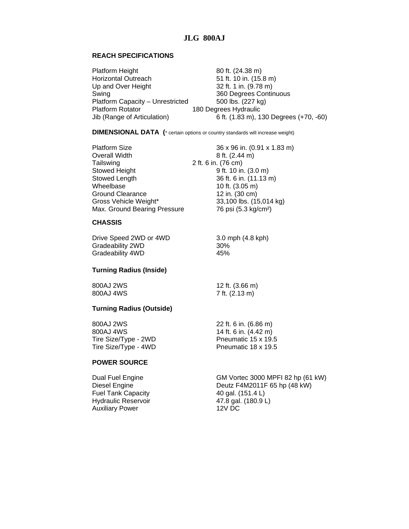## **REACH SPECIFICATIONS**

| 6 ft. (1.83 m), 130 Degrees (+70, -60) |
|----------------------------------------|
|                                        |

**DIMENSIONAL DATA (**\* certain options or country standards will increase weight)

| <b>Platform Size</b>         | 36 x 96 in. (0.91 x 1.83 m)      |
|------------------------------|----------------------------------|
| <b>Overall Width</b>         | 8 ft. (2.44 m)                   |
| Tailswing                    | 2 ft. 6 in. (76 cm)              |
| Stowed Height                | 9 ft. 10 in. (3.0 m)             |
| Stowed Length                | 36 ft. 6 in. (11.13 m)           |
| Wheelbase                    | 10 ft. (3.05 m)                  |
| Ground Clearance             | 12 in. (30 cm)                   |
| Gross Vehicle Weight*        | 33,100 lbs. (15,014 kg)          |
| Max. Ground Bearing Pressure | 76 psi (5.3 kg/cm <sup>2</sup> ) |

#### **CHASSIS**

Drive Speed 2WD or 4WD 3.0 mph (4.8 kph) Gradeability 2WD<br>Gradeability 4WD<br>45% Gradeability 4WD

## **Turning Radius (Inside)**

800AJ 2WS 12 ft. (3.66 m) 800AJ 4WS 7 ft. (2.13 m)

# **Turning Radius (Outside)**

| 800AJ 2WS<br>800AJ 4WS | 22 ft. 6 in. (6.86 m)<br>14 ft. 6 in. (4.42 m) |
|------------------------|------------------------------------------------|
| Tire Size/Type - 2WD   | Pneumatic 15 x 19.5                            |
| Tire Size/Type - 4WD   | Pneumatic 18 x 19.5                            |

## **POWER SOURCE**

Dual Fuel Engine<br>
Diesel Engine GM Vortec 3000 MPFI 82 hp (61 kW)<br>
Deutz F4M2011F 65 hp (48 kW) Deutz F4M2011F 65 hp (48 kW) Fuel Tank Capacity 40 gal. (151.4 L) Hydraulic Reservoir **47.8 gal. (180.9 L)**<br>Auxiliary Power 12V DC Auxiliary Power